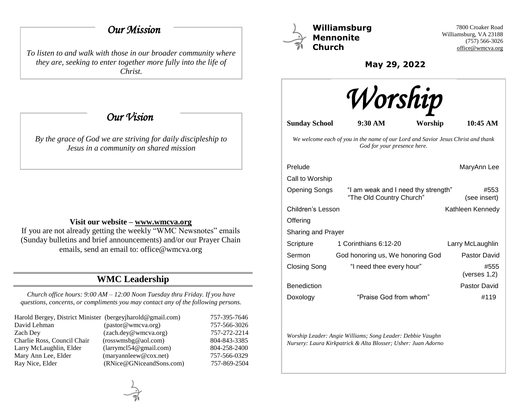## *Our Mission*

*To listen to and walk with those in our broader community where they are, seeking to enter together more fully into the life of Christ.*

 *Our Vision* 

*By the grace of God we are striving for daily discipleship to Jesus in a community on shared mission*

### **Visit our website – [www.wmcva.org](http://www.wmcva.org/)**

If you are not already getting the weekly "WMC Newsnotes" emails (Sunday bulletins and brief announcements) and/or our Prayer Chain emails, send an email to: office@wmcva.org

# **WMC Leadership**

*Church office hours: 9:00 AM – 12:00 Noon Tuesday thru Friday. If you have questions, concerns, or compliments you may contact any of the following persons.*

| Harold Bergey, District Minister (bergeyjharold@gmail.com) |                                | 757-395-7646 |
|------------------------------------------------------------|--------------------------------|--------------|
| David Lehman                                               | (pastor@wmcva.org)             | 757-566-3026 |
| Zach Dev                                                   | (zach.dey@wmcva.org)           | 757-272-2214 |
| Charlie Ross, Council Chair                                | (rosswmsbg@aol.com)            | 804-843-3385 |
| Larry McLaughlin, Elder                                    | (larymel 54@gmail.com)         | 804-258-2400 |
| Mary Ann Lee, Elder                                        | $(\text{maryannleew@cox.net})$ | 757-566-0329 |
| Ray Nice, Elder                                            | (RNice@GNiceandSons.com)       | 757-869-2504 |



**Williamsburg Mennonite Church**

7800 Croaker Road Williamsburg, VA 23188 (757) 566-3026 [office@wmcva.org](mailto:office@wmcva.org)

**May 29, 2022**



**Sunday School 9:30 AM Worship 10:45 AM**

*We welcome each of you in the name of our Lord and Savior Jesus Christ and thank God for your presence here.*

| Prelude            |                                                                 | MaryAnn Lee             |  |
|--------------------|-----------------------------------------------------------------|-------------------------|--|
| Call to Worship    |                                                                 |                         |  |
| Opening Songs      | "I am weak and I need thy strength"<br>"The Old Country Church" | #553<br>(see insert)    |  |
| Children's Lesson  |                                                                 | Kathleen Kennedy        |  |
| Offering           |                                                                 |                         |  |
| Sharing and Prayer |                                                                 |                         |  |
| Scripture          | 1 Corinthians 6:12-20                                           | Larry McLaughlin        |  |
| Sermon             | God honoring us, We honoring God                                | Pastor David            |  |
| Closing Song       | "I need thee every hour"                                        | #555<br>(verses $1,2$ ) |  |
| <b>Benediction</b> |                                                                 | Pastor David            |  |
| Doxology           | "Praise God from whom"                                          | #119                    |  |

*Worship Leader: Angie Williams; Song Leader: Debbie Vaughn Nursery: Laura Kirkpatrick & Alta Blosser; Usher: Juan Adorno*